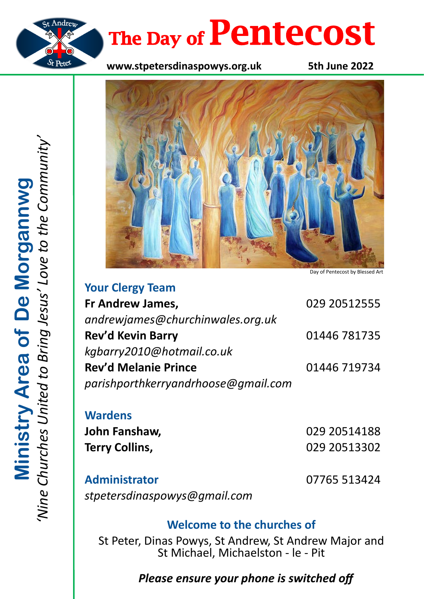

# The Day of **Pentecost**

**www.stpetersdinaspowys.org.uk 5th June 2022**



Day of Pentecost by Blessed Art

| <b>TUUL CICIEY IGAIL</b>            |              |
|-------------------------------------|--------------|
| Fr Andrew James,                    | 029 20512555 |
| andrewjames@churchinwales.org.uk    |              |
| <b>Rev'd Kevin Barry</b>            | 01446 781735 |
| kgbarry2010@hotmail.co.uk           |              |
| <b>Rev'd Melanie Prince</b>         | 01446 719734 |
| parishporthkerryandrhoose@gmail.com |              |
|                                     |              |

**Wardens John Fanshaw,** 029 20514188 **Terry Collins,** 029 20513302

**Your Clergy Team**

**Administrator** 07765 513424 *stpetersdinaspowys@gmail.com*

# **Welcome to the churches of**

St Peter, Dinas Powys, St Andrew, St Andrew Major and St Michael, Michaelston - le - Pit

# *Please ensure your phone is switched off*

*'Nine Churches United to Bring Jesus' Love to the Community'* **Ministry Area of De Morgannwg**<br>Wine Churches United to Bring Jesus' Love to the Community **Ministry Area of De Morgannwg**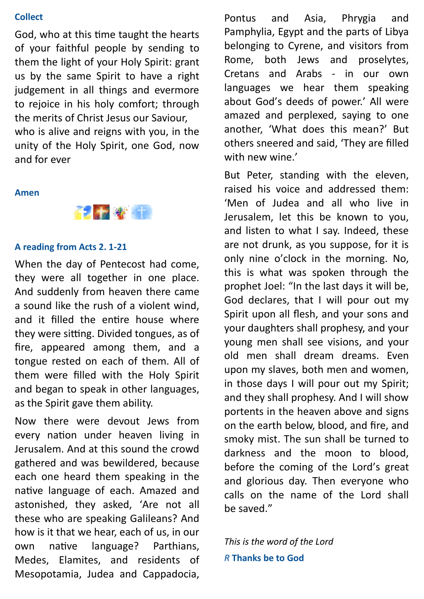### **Collect**

God, who at this time taught the hearts of your faithful people by sending to them the light of your Holy Spirit: grant us by the same Spirit to have a right judgement in all things and evermore to rejoice in his holy comfort; through the merits of Christ Jesus our Saviour, who is alive and reigns with you, in the unity of the Holy Spirit, one God, now and for ever

#### **Amen**



#### **A reading from Acts 2. 1-21**

When the day of Pentecost had come, they were all together in one place. And suddenly from heaven there came a sound like the rush of a violent wind, and it filled the entire house where they were sitting. Divided tongues, as of fire, appeared among them, and a tongue rested on each of them. All of them were filled with the Holy Spirit and began to speak in other languages, as the Spirit gave them ability.

Now there were devout Jews from every nation under heaven living in Jerusalem. And at this sound the crowd gathered and was bewildered, because each one heard them speaking in the native language of each. Amazed and astonished, they asked, 'Are not all these who are speaking Galileans? And how is it that we hear, each of us, in our own native language? Parthians, Medes, Elamites, and residents of Mesopotamia, Judea and Cappadocia,

Pontus and Asia, Phrygia and Pamphylia, Egypt and the parts of Libya belonging to Cyrene, and visitors from Rome, both Jews and proselytes, Cretans and Arabs - in our own languages we hear them speaking about God's deeds of power.' All were amazed and perplexed, saying to one another, 'What does this mean?' But others sneered and said, 'They are filled with new wine.'

But Peter, standing with the eleven, raised his voice and addressed them: 'Men of Judea and all who live in Jerusalem, let this be known to you, and listen to what I say. Indeed, these are not drunk, as you suppose, for it is only nine o'clock in the morning. No, this is what was spoken through the prophet Joel: "In the last days it will be, God declares, that I will pour out my Spirit upon all flesh, and your sons and your daughters shall prophesy, and your young men shall see visions, and your old men shall dream dreams. Even upon my slaves, both men and women, in those days I will pour out my Spirit; and they shall prophesy. And I will show portents in the heaven above and signs on the earth below, blood, and fire, and smoky mist. The sun shall be turned to darkness and the moon to blood, before the coming of the Lord's great and glorious day. Then everyone who calls on the name of the Lord shall be saved."

*This is the word of the Lord R* **Thanks be to God**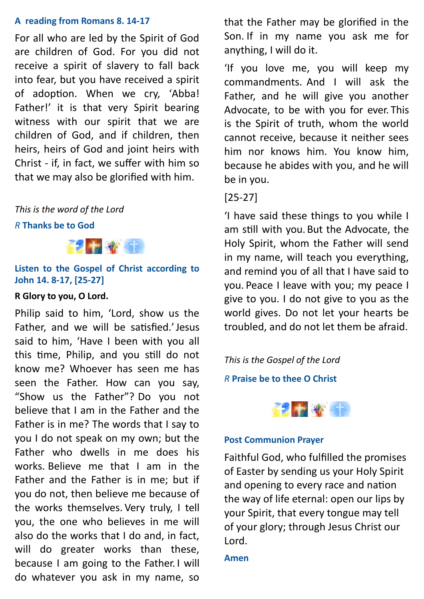# **A reading from Romans 8. 14-17**

For all who are led by the Spirit of God are children of God. For you did not receive a spirit of slavery to fall back into fear, but you have received a spirit of adoption. When we cry, 'Abba! Father!' it is that very Spirit bearing witness with our spirit that we are children of God, and if children, then heirs, heirs of God and joint heirs with Christ - if, in fact, we suffer with him so that we may also be glorified with him.

# *This is the word of the Lord*

## *R* **Thanks be to God**



# **Listen to the Gospel of Christ according to John 14. 8-17, [25-27]**

# **R Glory to you, O Lord.**

Philip said to him, 'Lord, show us the Father, and we will be satisfied.'Jesus said to him, 'Have I been with you all this time, Philip, and you still do not know me? Whoever has seen me has seen the Father. How can you say, "Show us the Father"? Do you not believe that I am in the Father and the Father is in me? The words that I say to you I do not speak on my own; but the Father who dwells in me does his works. Believe me that I am in the Father and the Father is in me; but if you do not, then believe me because of the works themselves. Very truly, I tell you, the one who believes in me will also do the works that I do and, in fact, will do greater works than these, because I am going to the Father. I will do whatever you ask in my name, so

that the Father may be glorified in the Son. If in my name you ask me for anything, I will do it.

'If you love me, you will keep my commandments. And I will ask the Father, and he will give you another Advocate, to be with you for ever. This is the Spirit of truth, whom the world cannot receive, because it neither sees him nor knows him. You know him, because he abides with you, and he will be in you.

# [25-27]

'I have said these things to you while I am still with you. But the Advocate, the Holy Spirit, whom the Father will send in my name, will teach you everything, and remind you of all that I have said to you. Peace I leave with you; my peace I give to you. I do not give to you as the world gives. Do not let your hearts be troubled, and do not let them be afraid.

*This is the Gospel of the Lord*

*R* **Praise be to thee O Christ**



# **Post Communion Prayer**

Faithful God, who fulfilled the promises of Easter by sending us your Holy Spirit and opening to every race and nation the way of life eternal: open our lips by your Spirit, that every tongue may tell of your glory; through Jesus Christ our Lord.

# **Amen**